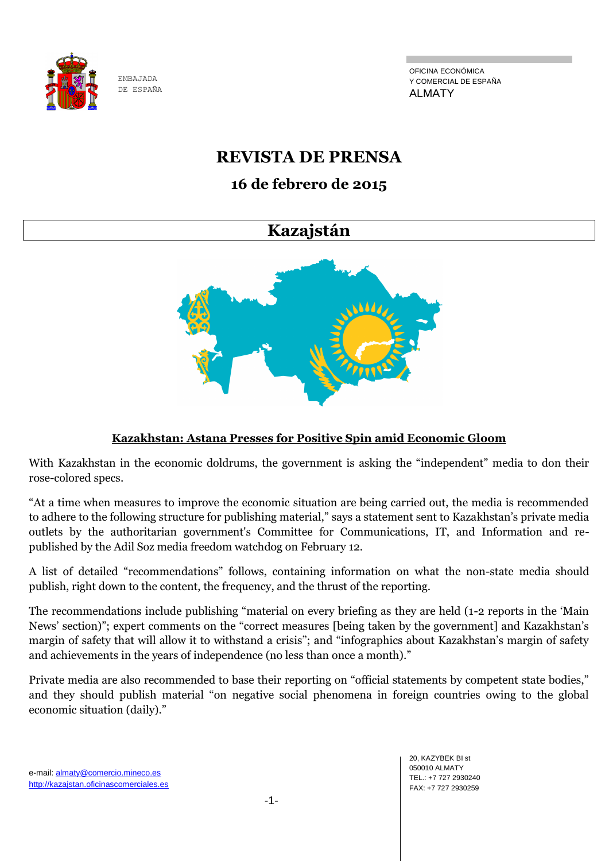

OFICINA ECONÓMICA Y COMERCIAL DE ESPAÑA ALMATY

# **REVISTA DE PRENSA**

# **16 de febrero de 2015**

# **Kazajstán**



# **Kazakhstan: Astana Presses for Positive Spin amid Economic Gloom**

With Kazakhstan in the economic doldrums, the government is asking the "independent" media to don their rose-colored specs.

"At a time when measures to improve the economic situation are being carried out, the media is recommended to adhere to the following structure for publishing material," says a statement sent to Kazakhstan's private media outlets by the authoritarian government's Committee for Communications, IT, and Information and republished by the Adil Soz media freedom watchdog on February 12.

A list of detailed "recommendations" follows, containing information on what the non-state media should publish, right down to the content, the frequency, and the thrust of the reporting.

The recommendations include publishing "material on every briefing as they are held (1-2 reports in the 'Main News' section)"; expert comments on the "correct measures [being taken by the government] and Kazakhstan's margin of safety that will allow it to withstand a crisis"; and "infographics about Kazakhstan's margin of safety and achievements in the years of independence (no less than once a month)."

Private media are also recommended to base their reporting on "official statements by competent state bodies," and they should publish material "on negative social phenomena in foreign countries owing to the global economic situation (daily)."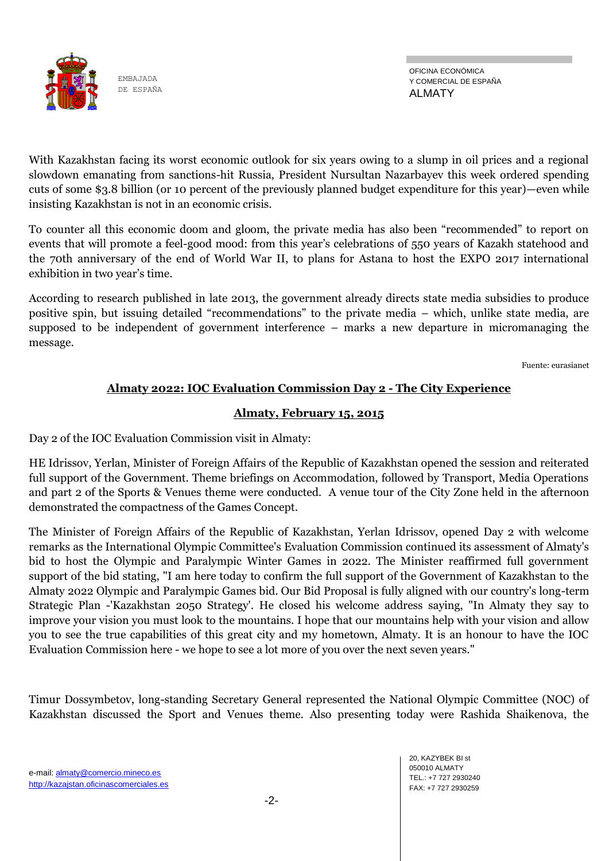

With Kazakhstan facing its worst economic outlook for six years owing to a slump in oil prices and a regional slowdown emanating from sanctions-hit Russia, President Nursultan Nazarbayev this week ordered spending cuts of some \$3.8 billion (or 10 percent of the previously planned budget expenditure for this year)—even while insisting Kazakhstan is not in an economic crisis.

To counter all this economic doom and gloom, the private media has also been "recommended" to report on events that will promote a feel-good mood: from this year's celebrations of 550 years of Kazakh statehood and the 70th anniversary of the end of World War II, to plans for Astana to host the EXPO 2017 international exhibition in two year's time.

According to research published in late 2013, the government already directs state media subsidies to produce positive spin, but issuing detailed "recommendations" to the private media – which, unlike state media, are supposed to be independent of government interference – marks a new departure in micromanaging the message.

Fuente: eurasianet

### **Almaty 2022: IOC Evaluation Commission Day 2 - The City Experience**

#### **Almaty, February 15, 2015**

Day 2 of the IOC Evaluation Commission visit in Almaty:

HE Idrissov, Yerlan, Minister of Foreign Affairs of the Republic of Kazakhstan opened the session and reiterated full support of the Government. Theme briefings on Accommodation, followed by Transport, Media Operations and part 2 of the Sports & Venues theme were conducted. A venue tour of the City Zone held in the afternoon demonstrated the compactness of the Games Concept.

The Minister of Foreign Affairs of the Republic of Kazakhstan, Yerlan Idrissov, opened Day 2 with welcome remarks as the International Olympic Committee's Evaluation Commission continued its assessment of Almaty's bid to host the Olympic and Paralympic Winter Games in 2022. The Minister reaffirmed full government support of the bid stating, "I am here today to confirm the full support of the Government of Kazakhstan to the Almaty 2022 Olympic and Paralympic Games bid. Our Bid Proposal is fully aligned with our country's long-term Strategic Plan -'Kazakhstan 2050 Strategy'. He closed his welcome address saying, "In Almaty they say to improve your vision you must look to the mountains. I hope that our mountains help with your vision and allow you to see the true capabilities of this great city and my hometown, Almaty. It is an honour to have the IOC Evaluation Commission here - we hope to see a lot more of you over the next seven years."

Timur Dossymbetov, long-standing Secretary General represented the National Olympic Committee (NOC) of Kazakhstan discussed the Sport and Venues theme. Also presenting today were Rashida Shaikenova, the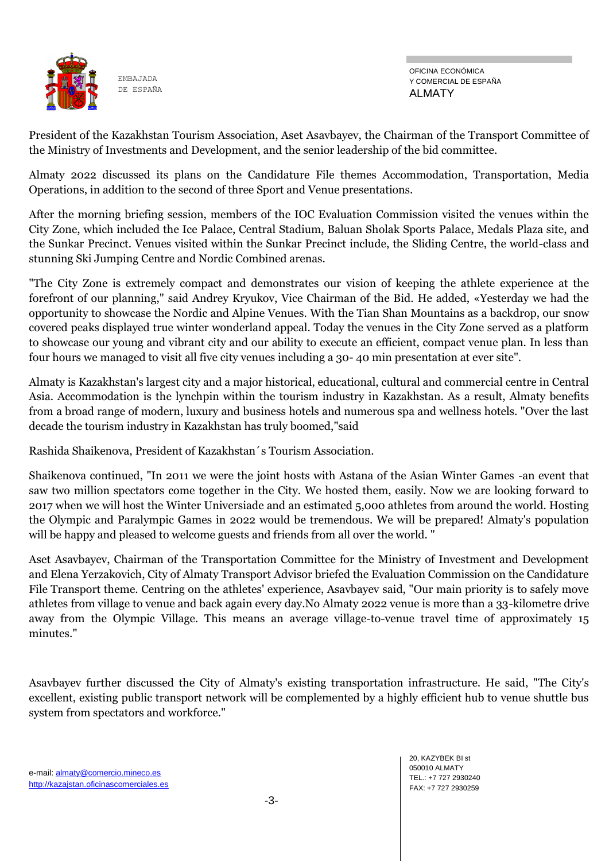

OFICINA ECONÓMICA Y COMERCIAL DE ESPAÑA ALMATY

President of the Kazakhstan Tourism Association, Aset Asavbayev, the Chairman of the Transport Committee of the Ministry of Investments and Development, and the senior leadership of the bid committee.

Almaty 2022 discussed its plans on the Candidature File themes Accommodation, Transportation, Media Operations, in addition to the second of three Sport and Venue presentations.

After the morning briefing session, members of the IOC Evaluation Commission visited the venues within the City Zone, which included the Ice Palace, Central Stadium, Baluan Sholak Sports Palace, Medals Plaza site, and the Sunkar Precinct. Venues visited within the Sunkar Precinct include, the Sliding Centre, the world-class and stunning Ski Jumping Centre and Nordic Combined arenas.

"The City Zone is extremely compact and demonstrates our vision of keeping the athlete experience at the forefront of our planning," said Andrey Kryukov, Vice Chairman of the Bid. He added, «Yesterday we had the opportunity to showcase the Nordic and Alpine Venues. With the Tian Shan Mountains as a backdrop, our snow covered peaks displayed true winter wonderland appeal. Today the venues in the City Zone served as a platform to showcase our young and vibrant city and our ability to execute an efficient, compact venue plan. In less than four hours we managed to visit all five city venues including a 30- 40 min presentation at ever site".

Almaty is Kazakhstan's largest city and a major historical, educational, cultural and commercial centre in Central Asia. Accommodation is the lynchpin within the tourism industry in Kazakhstan. As a result, Almaty benefits from a broad range of modern, luxury and business hotels and numerous spa and wellness hotels. "Over the last decade the tourism industry in Kazakhstan has truly boomed,"said

Rashida Shaikenova, President of Kazakhstan´s Tourism Association.

Shaikenova continued, "In 2011 we were the joint hosts with Astana of the Asian Winter Games -an event that saw two million spectators come together in the City. We hosted them, easily. Now we are looking forward to 2017 when we will host the Winter Universiade and an estimated 5,000 athletes from around the world. Hosting the Olympic and Paralympic Games in 2022 would be tremendous. We will be prepared! Almaty's population will be happy and pleased to welcome guests and friends from all over the world. "

Aset Asavbayev, Chairman of the Transportation Committee for the Ministry of Investment and Development and Elena Yerzakovich, City of Almaty Transport Advisor briefed the Evaluation Commission on the Candidature File Transport theme. Centring on the athletes' experience, Asavbayev said, "Our main priority is to safely move athletes from village to venue and back again every day.No Almaty 2022 venue is more than a 33-kilometre drive away from the Olympic Village. This means an average village-to-venue travel time of approximately 15 minutes."

Asavbayev further discussed the City of Almaty's existing transportation infrastructure. He said, "The City's excellent, existing public transport network will be complemented by a highly efficient hub to venue shuttle bus system from spectators and workforce."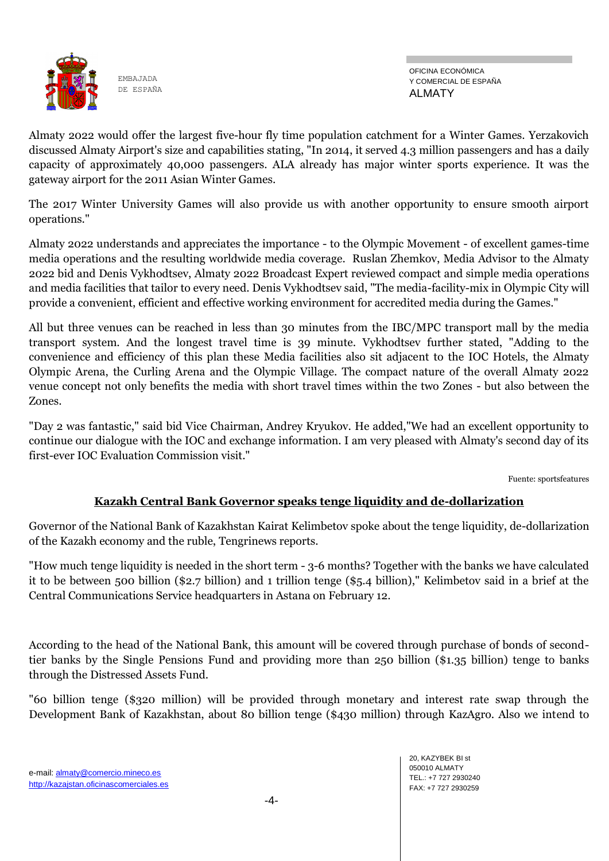

OFICINA ECONÓMICA Y COMERCIAL DE ESPAÑA ALMATY

Almaty 2022 would offer the largest five-hour fly time population catchment for a Winter Games. Yerzakovich discussed Almaty Airport's size and capabilities stating, "In 2014, it served 4.3 million passengers and has a daily capacity of approximately 40,000 passengers. ALA already has major winter sports experience. It was the gateway airport for the 2011 Asian Winter Games.

The 2017 Winter University Games will also provide us with another opportunity to ensure smooth airport operations."

Almaty 2022 understands and appreciates the importance - to the Olympic Movement - of excellent games-time media operations and the resulting worldwide media coverage. Ruslan Zhemkov, Media Advisor to the Almaty 2022 bid and Denis Vykhodtsev, Almaty 2022 Broadcast Expert reviewed compact and simple media operations and media facilities that tailor to every need. Denis Vykhodtsev said, "The media-facility-mix in Olympic City will provide a convenient, efficient and effective working environment for accredited media during the Games."

All but three venues can be reached in less than 30 minutes from the IBC/MPC transport mall by the media transport system. And the longest travel time is 39 minute. Vykhodtsev further stated, "Adding to the convenience and efficiency of this plan these Media facilities also sit adjacent to the IOC Hotels, the Almaty Olympic Arena, the Curling Arena and the Olympic Village. The compact nature of the overall Almaty 2022 venue concept not only benefits the media with short travel times within the two Zones - but also between the Zones.

"Day 2 was fantastic," said bid Vice Chairman, Andrey Kryukov. He added,"We had an excellent opportunity to continue our dialogue with the IOC and exchange information. I am very pleased with Almaty's second day of its first-ever IOC Evaluation Commission visit."

Fuente: sportsfeatures

## **Kazakh Central Bank Governor speaks tenge liquidity and de-dollarization**

Governor of the National Bank of Kazakhstan Kairat Kelimbetov spoke about the tenge liquidity, de-dollarization of the Kazakh economy and the ruble, Tengrinews reports.

"How much tenge liquidity is needed in the short term - 3-6 months? Together with the banks we have calculated it to be between 500 billion (\$2.7 billion) and 1 trillion tenge (\$5.4 billion)," Kelimbetov said in a brief at the Central Communications Service headquarters in Astana on February 12.

According to the head of the National Bank, this amount will be covered through purchase of bonds of secondtier banks by the Single Pensions Fund and providing more than 250 billion (\$1.35 billion) tenge to banks through the Distressed Assets Fund.

"60 billion tenge (\$320 million) will be provided through monetary and interest rate swap through the Development Bank of Kazakhstan, about 80 billion tenge (\$430 million) through KazAgro. Also we intend to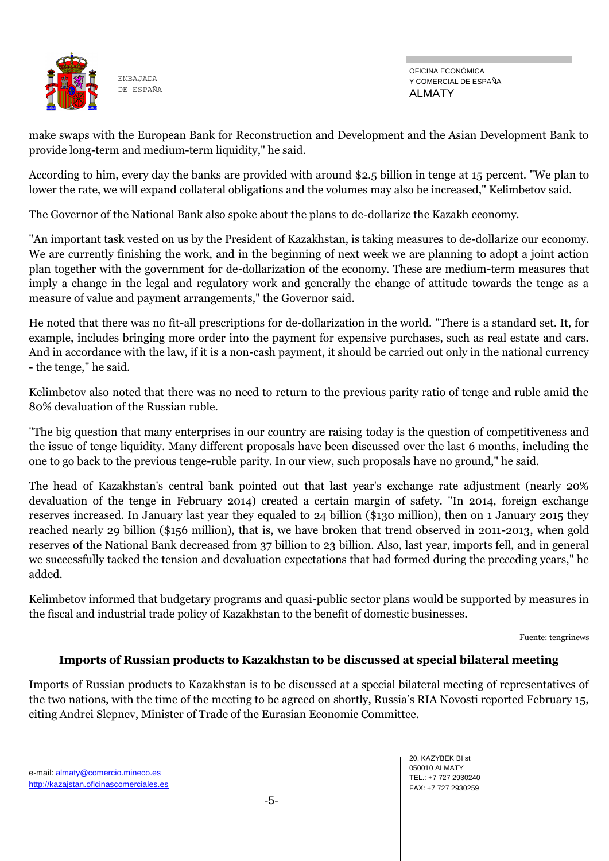

make swaps with the European Bank for Reconstruction and Development and the Asian Development Bank to provide long-term and medium-term liquidity," he said.

According to him, every day the banks are provided with around \$2.5 billion in tenge at 15 percent. "We plan to lower the rate, we will expand collateral obligations and the volumes may also be increased," Kelimbetov said.

The Governor of the National Bank also spoke about the plans to de-dollarize the Kazakh economy.

"An important task vested on us by the President of Kazakhstan, is taking measures to de-dollarize our economy. We are currently finishing the work, and in the beginning of next week we are planning to adopt a joint action plan together with the government for de-dollarization of the economy. These are medium-term measures that imply a change in the legal and regulatory work and generally the change of attitude towards the tenge as a measure of value and payment arrangements," the Governor said.

He noted that there was no fit-all prescriptions for de-dollarization in the world. "There is a standard set. It, for example, includes bringing more order into the payment for expensive purchases, such as real estate and cars. And in accordance with the law, if it is a non-cash payment, it should be carried out only in the national currency - the tenge," he said.

Kelimbetov also noted that there was no need to return to the previous parity ratio of tenge and ruble amid the 80% devaluation of the Russian ruble.

"The big question that many enterprises in our country are raising today is the question of competitiveness and the issue of tenge liquidity. Many different proposals have been discussed over the last 6 months, including the one to go back to the previous tenge-ruble parity. In our view, such proposals have no ground," he said.

The head of Kazakhstan's central bank pointed out that last year's exchange rate adjustment (nearly 20% devaluation of the tenge in February 2014) created a certain margin of safety. "In 2014, foreign exchange reserves increased. In January last year they equaled to 24 billion (\$130 million), then on 1 January 2015 they reached nearly 29 billion (\$156 million), that is, we have broken that trend observed in 2011-2013, when gold reserves of the National Bank decreased from 37 billion to 23 billion. Also, last year, imports fell, and in general we successfully tacked the tension and devaluation expectations that had formed during the preceding years," he added.

Kelimbetov informed that budgetary programs and quasi-public sector plans would be supported by measures in the fiscal and industrial trade policy of Kazakhstan to the benefit of domestic businesses.

Fuente: tengrinews

#### **Imports of Russian products to Kazakhstan to be discussed at special bilateral meeting**

Imports of Russian products to Kazakhstan is to be discussed at a special bilateral meeting of representatives of the two nations, with the time of the meeting to be agreed on shortly, Russia's RIA Novosti reported February 15, citing Andrei Slepnev, Minister of Trade of the Eurasian Economic Committee.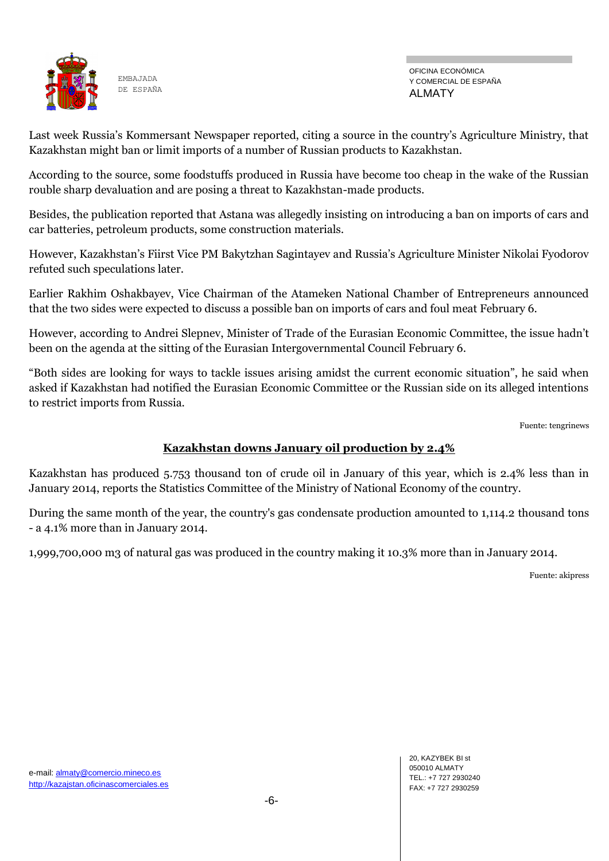

OFICINA ECONÓMICA Y COMERCIAL DE ESPAÑA ALMATY

Last week Russia's Kommersant Newspaper reported, citing a source in the country's Agriculture Ministry, that Kazakhstan might ban or limit imports of a number of Russian products to Kazakhstan.

According to the source, some foodstuffs produced in Russia have become too cheap in the wake of the Russian rouble sharp devaluation and are posing a threat to Kazakhstan-made products.

Besides, the publication reported that Astana was allegedly insisting on introducing a ban on imports of cars and car batteries, petroleum products, some construction materials.

However, Kazakhstan's Fiirst Vice PM Bakytzhan Sagintayev and Russia's Agriculture Minister Nikolai Fyodorov refuted such speculations later.

Earlier Rakhim Oshakbayev, Vice Chairman of the Atameken National Chamber of Entrepreneurs announced that the two sides were expected to discuss a possible ban on imports of cars and foul meat February 6.

However, according to Andrei Slepnev, Minister of Trade of the Eurasian Economic Committee, the issue hadn't been on the agenda at the sitting of the Eurasian Intergovernmental Council February 6.

"Both sides are looking for ways to tackle issues arising amidst the current economic situation", he said when asked if Kazakhstan had notified the Eurasian Economic Committee or the Russian side on its alleged intentions to restrict imports from Russia.

Fuente: tengrinews

## **Kazakhstan downs January oil production by 2.4%**

Kazakhstan has produced 5.753 thousand ton of crude oil in January of this year, which is 2.4% less than in January 2014, reports the Statistics Committee of the Ministry of National Economy of the country.

During the same month of the year, the country's gas condensate production amounted to 1,114.2 thousand tons - a 4.1% more than in January 2014.

1,999,700,000 m3 of natural gas was produced in the country making it 10.3% more than in January 2014.

Fuente: akipress

-6-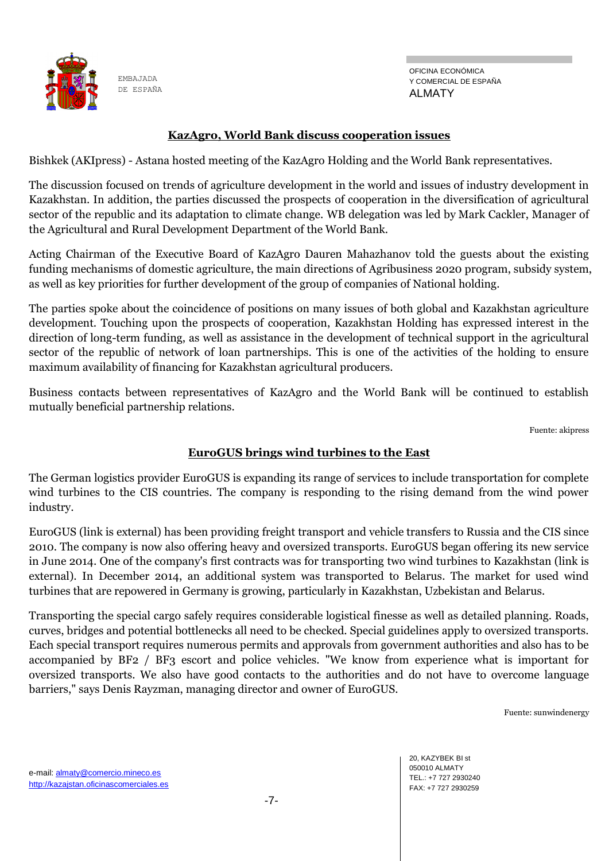

#### **KazAgro, World Bank discuss cooperation issues**

Bishkek (AKIpress) - Astana hosted meeting of the KazAgro Holding and the World Bank representatives.

The discussion focused on trends of agriculture development in the world and issues of industry development in Kazakhstan. In addition, the parties discussed the prospects of cooperation in the diversification of agricultural sector of the republic and its adaptation to climate change. WB delegation was led by Mark Cackler, Manager of the Agricultural and Rural Development Department of the World Bank.

Acting Chairman of the Executive Board of KazAgro Dauren Mahazhanov told the guests about the existing funding mechanisms of domestic agriculture, the main directions of Agribusiness 2020 program, subsidy system, as well as key priorities for further development of the group of companies of National holding.

The parties spoke about the coincidence of positions on many issues of both global and Kazakhstan agriculture development. Touching upon the prospects of cooperation, Kazakhstan Holding has expressed interest in the direction of long-term funding, as well as assistance in the development of technical support in the agricultural sector of the republic of network of loan partnerships. This is one of the activities of the holding to ensure maximum availability of financing for Kazakhstan agricultural producers.

Business contacts between representatives of KazAgro and the World Bank will be continued to establish mutually beneficial partnership relations.

Fuente: akipress

### **EuroGUS brings wind turbines to the East**

The German logistics provider EuroGUS is expanding its range of services to include transportation for complete wind turbines to the CIS countries. The company is responding to the rising demand from the wind power industry.

EuroGUS (link is external) has been providing freight transport and vehicle transfers to Russia and the CIS since 2010. The company is now also offering heavy and oversized transports. EuroGUS began offering its new service in June 2014. One of the company's first contracts was for transporting two wind turbines to Kazakhstan (link is external). In December 2014, an additional system was transported to Belarus. The market for used wind turbines that are repowered in Germany is growing, particularly in Kazakhstan, Uzbekistan and Belarus.

Transporting the special cargo safely requires considerable logistical finesse as well as detailed planning. Roads, curves, bridges and potential bottlenecks all need to be checked. Special guidelines apply to oversized transports. Each special transport requires numerous permits and approvals from government authorities and also has to be accompanied by BF2 / BF3 escort and police vehicles. "We know from experience what is important for oversized transports. We also have good contacts to the authorities and do not have to overcome language barriers," says Denis Rayzman, managing director and owner of EuroGUS.

Fuente: sunwindenergy

20, KAZYBEK BI st 050010 ALMATY TEL.: +7 727 2930240 FAX: +7 727 2930259

e-mail: almaty@comercio.mineco.es http://kazajstan.oficinascomerciales.es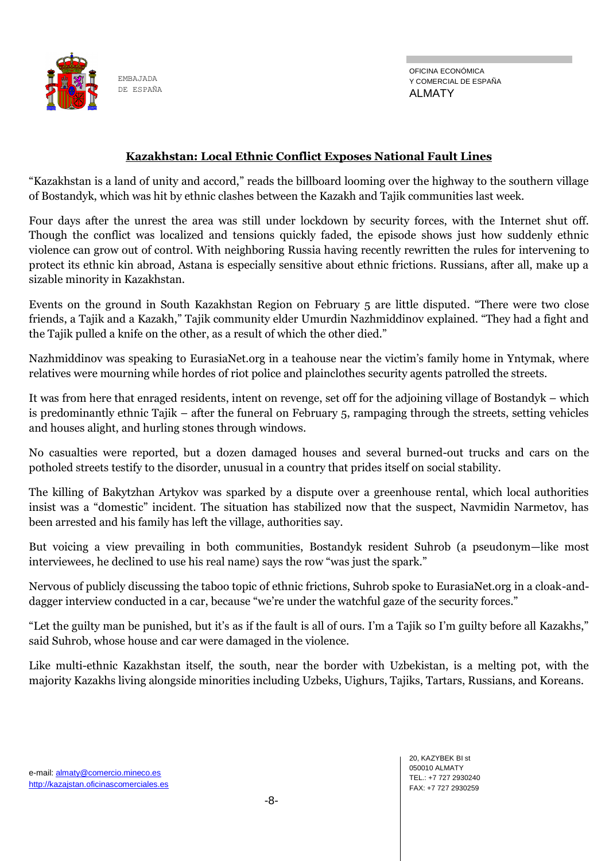

OFICINA ECONÓMICA Y COMERCIAL DE ESPAÑA ALMATY

#### **Kazakhstan: Local Ethnic Conflict Exposes National Fault Lines**

"Kazakhstan is a land of unity and accord," reads the billboard looming over the highway to the southern village of Bostandyk, which was hit by ethnic clashes between the Kazakh and Tajik communities last week.

Four days after the unrest the area was still under lockdown by security forces, with the Internet shut off. Though the conflict was localized and tensions quickly faded, the episode shows just how suddenly ethnic violence can grow out of control. With neighboring Russia having recently rewritten the rules for intervening to protect its ethnic kin abroad, Astana is especially sensitive about ethnic frictions. Russians, after all, make up a sizable minority in Kazakhstan.

Events on the ground in South Kazakhstan Region on February 5 are little disputed. "There were two close friends, a Tajik and a Kazakh," Tajik community elder Umurdin Nazhmiddinov explained. "They had a fight and the Tajik pulled a knife on the other, as a result of which the other died."

Nazhmiddinov was speaking to EurasiaNet.org in a teahouse near the victim's family home in Yntymak, where relatives were mourning while hordes of riot police and plainclothes security agents patrolled the streets.

It was from here that enraged residents, intent on revenge, set off for the adjoining village of Bostandyk – which is predominantly ethnic Tajik – after the funeral on February 5, rampaging through the streets, setting vehicles and houses alight, and hurling stones through windows.

No casualties were reported, but a dozen damaged houses and several burned-out trucks and cars on the potholed streets testify to the disorder, unusual in a country that prides itself on social stability.

The killing of Bakytzhan Artykov was sparked by a dispute over a greenhouse rental, which local authorities insist was a "domestic" incident. The situation has stabilized now that the suspect, Navmidin Narmetov, has been arrested and his family has left the village, authorities say.

But voicing a view prevailing in both communities, Bostandyk resident Suhrob (a pseudonym—like most interviewees, he declined to use his real name) says the row "was just the spark."

Nervous of publicly discussing the taboo topic of ethnic frictions, Suhrob spoke to EurasiaNet.org in a cloak-anddagger interview conducted in a car, because "we're under the watchful gaze of the security forces."

"Let the guilty man be punished, but it's as if the fault is all of ours. I'm a Tajik so I'm guilty before all Kazakhs," said Suhrob, whose house and car were damaged in the violence.

Like multi-ethnic Kazakhstan itself, the south, near the border with Uzbekistan, is a melting pot, with the majority Kazakhs living alongside minorities including Uzbeks, Uighurs, Tajiks, Tartars, Russians, and Koreans.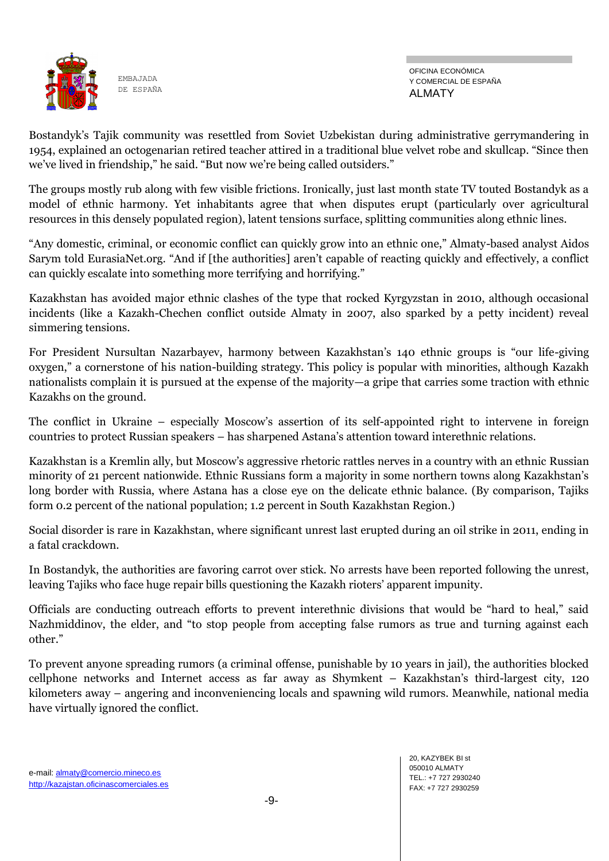

Bostandyk's Tajik community was resettled from Soviet Uzbekistan during administrative gerrymandering in 1954, explained an octogenarian retired teacher attired in a traditional blue velvet robe and skullcap. "Since then we've lived in friendship," he said. "But now we're being called outsiders."

The groups mostly rub along with few visible frictions. Ironically, just last month state TV touted Bostandyk as a model of ethnic harmony. Yet inhabitants agree that when disputes erupt (particularly over agricultural resources in this densely populated region), latent tensions surface, splitting communities along ethnic lines.

"Any domestic, criminal, or economic conflict can quickly grow into an ethnic one," Almaty-based analyst Aidos Sarym told EurasiaNet.org. "And if [the authorities] aren't capable of reacting quickly and effectively, a conflict can quickly escalate into something more terrifying and horrifying."

Kazakhstan has avoided major ethnic clashes of the type that rocked Kyrgyzstan in 2010, although occasional incidents (like a Kazakh-Chechen conflict outside Almaty in 2007, also sparked by a petty incident) reveal simmering tensions.

For President Nursultan Nazarbayev, harmony between Kazakhstan's 140 ethnic groups is "our life-giving oxygen," a cornerstone of his nation-building strategy. This policy is popular with minorities, although Kazakh nationalists complain it is pursued at the expense of the majority—a gripe that carries some traction with ethnic Kazakhs on the ground.

The conflict in Ukraine – especially Moscow's assertion of its self-appointed right to intervene in foreign countries to protect Russian speakers – has sharpened Astana's attention toward interethnic relations.

Kazakhstan is a Kremlin ally, but Moscow's aggressive rhetoric rattles nerves in a country with an ethnic Russian minority of 21 percent nationwide. Ethnic Russians form a majority in some northern towns along Kazakhstan's long border with Russia, where Astana has a close eye on the delicate ethnic balance. (By comparison, Tajiks form 0.2 percent of the national population; 1.2 percent in South Kazakhstan Region.)

Social disorder is rare in Kazakhstan, where significant unrest last erupted during an oil strike in 2011, ending in a fatal crackdown.

In Bostandyk, the authorities are favoring carrot over stick. No arrests have been reported following the unrest, leaving Tajiks who face huge repair bills questioning the Kazakh rioters' apparent impunity.

Officials are conducting outreach efforts to prevent interethnic divisions that would be "hard to heal," said Nazhmiddinov, the elder, and "to stop people from accepting false rumors as true and turning against each other."

To prevent anyone spreading rumors (a criminal offense, punishable by 10 years in jail), the authorities blocked cellphone networks and Internet access as far away as Shymkent – Kazakhstan's third-largest city, 120 kilometers away – angering and inconveniencing locals and spawning wild rumors. Meanwhile, national media have virtually ignored the conflict.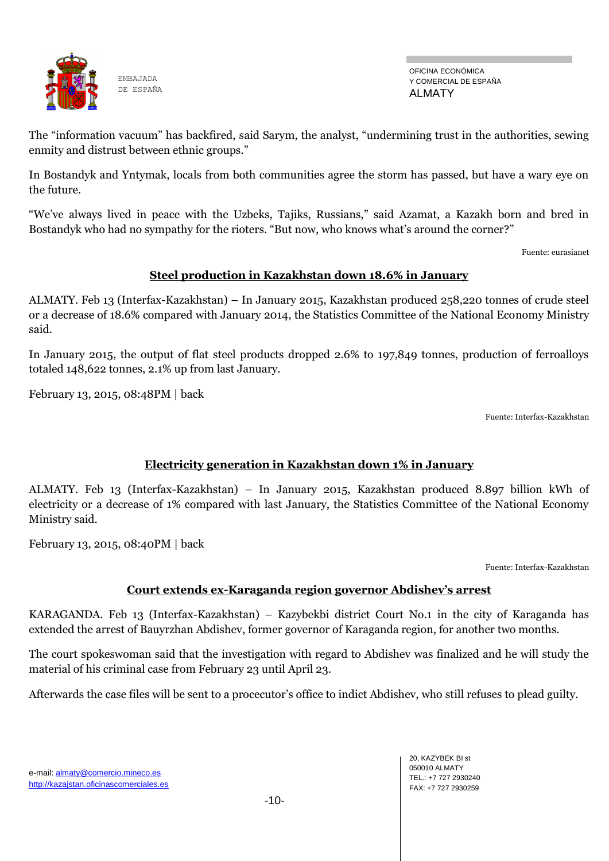

OFICINA ECONÓMICA Y COMERCIAL DE ESPAÑA ALMATY

The "information vacuum" has backfired, said Sarym, the analyst, "undermining trust in the authorities, sewing enmity and distrust between ethnic groups."

In Bostandyk and Yntymak, locals from both communities agree the storm has passed, but have a wary eye on the future.

"We've always lived in peace with the Uzbeks, Tajiks, Russians," said Azamat, a Kazakh born and bred in Bostandyk who had no sympathy for the rioters. "But now, who knows what's around the corner?"

Fuente: eurasianet

## **Steel production in Kazakhstan down 18.6% in January**

ALMATY. Feb 13 (Interfax-Kazakhstan) – In January 2015, Kazakhstan produced 258,220 tonnes of crude steel or a decrease of 18.6% compared with January 2014, the Statistics Committee of the National Economy Ministry said.

In January 2015, the output of flat steel products dropped 2.6% to 197,849 tonnes, production of ferroalloys totaled 148,622 tonnes, 2.1% up from last January.

February 13, 2015, 08:48PM | back

Fuente: Interfax-Kazakhstan

## **Electricity generation in Kazakhstan down 1% in January**

ALMATY. Feb 13 (Interfax-Kazakhstan) – In January 2015, Kazakhstan produced 8.897 billion kWh of electricity or a decrease of 1% compared with last January, the Statistics Committee of the National Economy Ministry said.

February 13, 2015, 08:40PM | back

Fuente: Interfax-Kazakhstan

## **Court extends ex-Karaganda region governor Abdishev's arrest**

KARAGANDA. Feb 13 (Interfax-Kazakhstan) – Kazybekbi district Court No.1 in the city of Karaganda has extended the arrest of Bauyrzhan Abdishev, former governor of Karaganda region, for another two months.

The court spokeswoman said that the investigation with regard to Abdishev was finalized and he will study the material of his criminal case from February 23 until April 23.

Afterwards the case files will be sent to a procecutor's office to indict Abdishev, who still refuses to plead guilty.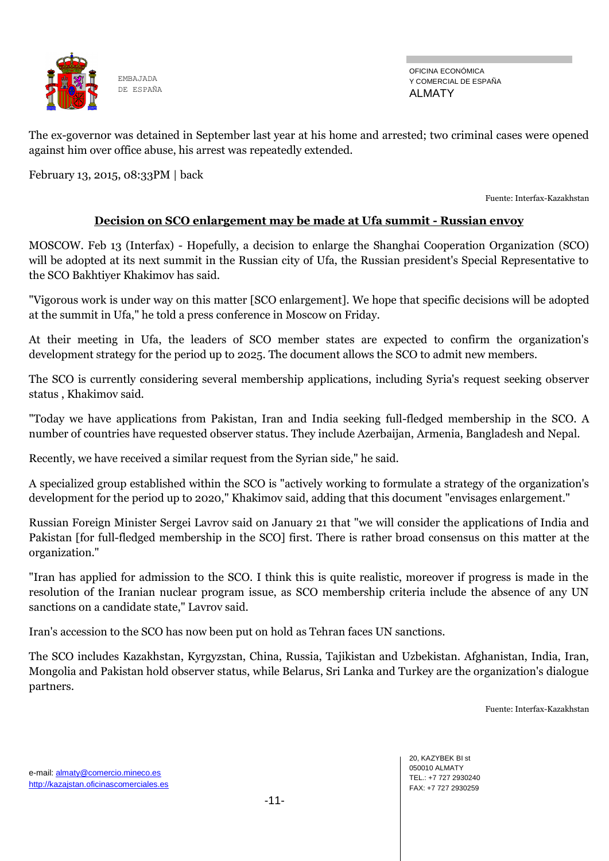

The ex-governor was detained in September last year at his home and arrested; two criminal cases were opened against him over office abuse, his arrest was repeatedly extended.

February 13, 2015, 08:33PM | back

Fuente: Interfax-Kazakhstan

## **Decision on SCO enlargement may be made at Ufa summit - Russian envoy**

MOSCOW. Feb 13 (Interfax) - Hopefully, a decision to enlarge the Shanghai Cooperation Organization (SCO) will be adopted at its next summit in the Russian city of Ufa, the Russian president's Special Representative to the SCO Bakhtiyer Khakimov has said.

"Vigorous work is under way on this matter [SCO enlargement]. We hope that specific decisions will be adopted at the summit in Ufa," he told a press conference in Moscow on Friday.

At their meeting in Ufa, the leaders of SCO member states are expected to confirm the organization's development strategy for the period up to 2025. The document allows the SCO to admit new members.

The SCO is currently considering several membership applications, including Syria's request seeking observer status , Khakimov said.

"Today we have applications from Pakistan, Iran and India seeking full-fledged membership in the SCO. A number of countries have requested observer status. They include Azerbaijan, Armenia, Bangladesh and Nepal.

Recently, we have received a similar request from the Syrian side," he said.

A specialized group established within the SCO is "actively working to formulate a strategy of the organization's development for the period up to 2020," Khakimov said, adding that this document "envisages enlargement."

Russian Foreign Minister Sergei Lavrov said on January 21 that "we will consider the applications of India and Pakistan [for full-fledged membership in the SCO] first. There is rather broad consensus on this matter at the organization."

"Iran has applied for admission to the SCO. I think this is quite realistic, moreover if progress is made in the resolution of the Iranian nuclear program issue, as SCO membership criteria include the absence of any UN sanctions on a candidate state," Lavrov said.

Iran's accession to the SCO has now been put on hold as Tehran faces UN sanctions.

The SCO includes Kazakhstan, Kyrgyzstan, China, Russia, Tajikistan and Uzbekistan. Afghanistan, India, Iran, Mongolia and Pakistan hold observer status, while Belarus, Sri Lanka and Turkey are the organization's dialogue partners.

Fuente: Interfax-Kazakhstan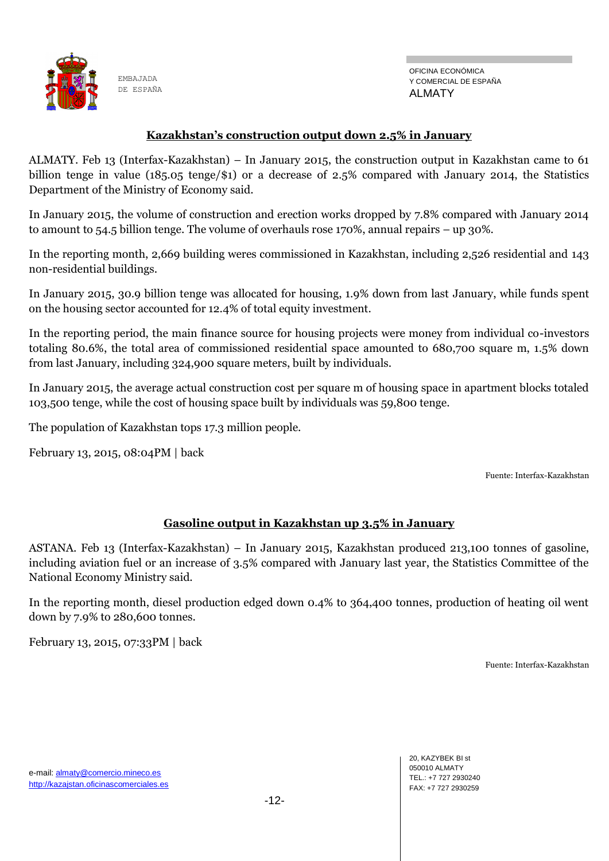

#### **Kazakhstan's construction output down 2.5% in January**

ALMATY. Feb 13 (Interfax-Kazakhstan) – In January 2015, the construction output in Kazakhstan came to 61 billion tenge in value (185.05 tenge/\$1) or a decrease of 2.5% compared with January 2014, the Statistics Department of the Ministry of Economy said.

In January 2015, the volume of construction and erection works dropped by 7.8% compared with January 2014 to amount to 54.5 billion tenge. The volume of overhauls rose 170%, annual repairs – up 30%.

In the reporting month, 2,669 building weres commissioned in Kazakhstan, including 2,526 residential and 143 non-residential buildings.

In January 2015, 30.9 billion tenge was allocated for housing, 1.9% down from last January, while funds spent on the housing sector accounted for 12.4% of total equity investment.

In the reporting period, the main finance source for housing projects were money from individual co-investors totaling 80.6%, the total area of commissioned residential space amounted to 680,700 square m, 1.5% down from last January, including 324,900 square meters, built by individuals.

In January 2015, the average actual construction cost per square m of housing space in apartment blocks totaled 103,500 tenge, while the cost of housing space built by individuals was 59,800 tenge.

The population of Kazakhstan tops 17.3 million people.

February 13, 2015, 08:04PM | back

Fuente: Interfax-Kazakhstan

### **Gasoline output in Kazakhstan up 3.5% in January**

ASTANA. Feb 13 (Interfax-Kazakhstan) – In January 2015, Kazakhstan produced 213,100 tonnes of gasoline, including aviation fuel or an increase of 3.5% compared with January last year, the Statistics Committee of the National Economy Ministry said.

In the reporting month, diesel production edged down 0.4% to 364,400 tonnes, production of heating oil went down by 7.9% to 280,600 tonnes.

February 13, 2015, 07:33PM | back

Fuente: Interfax-Kazakhstan

20, KAZYBEK BI st 050010 ALMATY TEL.: +7 727 2930240 FAX: +7 727 2930259

e-mail: almaty@comercio.mineco.es http://kazajstan.oficinascomerciales.es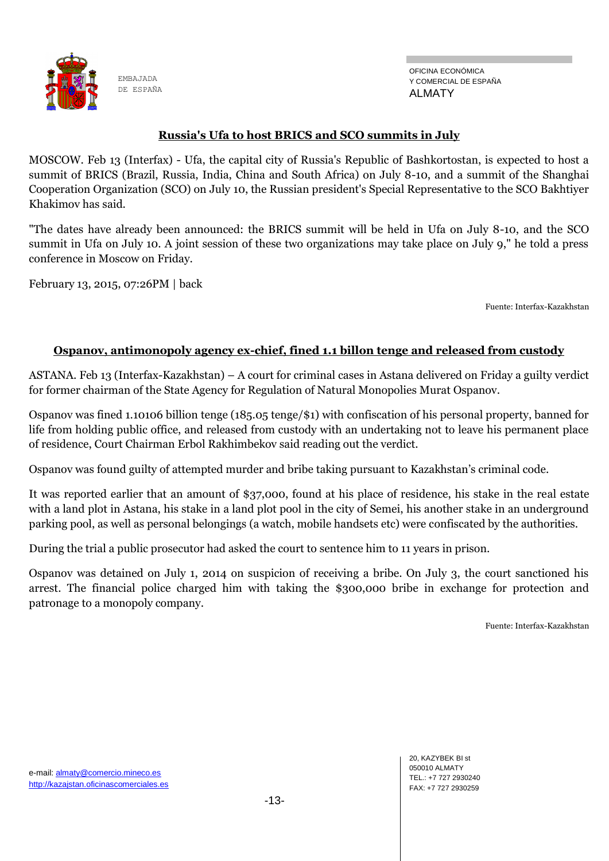

### **Russia's Ufa to host BRICS and SCO summits in July**

MOSCOW. Feb 13 (Interfax) - Ufa, the capital city of Russia's Republic of Bashkortostan, is expected to host a summit of BRICS (Brazil, Russia, India, China and South Africa) on July 8-10, and a summit of the Shanghai Cooperation Organization (SCO) on July 10, the Russian president's Special Representative to the SCO Bakhtiyer Khakimov has said.

"The dates have already been announced: the BRICS summit will be held in Ufa on July 8-10, and the SCO summit in Ufa on July 10. A joint session of these two organizations may take place on July 9," he told a press conference in Moscow on Friday.

February 13, 2015, 07:26PM | back

Fuente: Interfax-Kazakhstan

#### **Ospanov, antimonopoly agency ex-chief, fined 1.1 billon tenge and released from custody**

ASTANA. Feb 13 (Interfax-Kazakhstan) – A court for criminal cases in Astana delivered on Friday a guilty verdict for former chairman of the State Agency for Regulation of Natural Monopolies Murat Ospanov.

Ospanov was fined 1.10106 billion tenge (185.05 tenge/\$1) with confiscation of his personal property, banned for life from holding public office, and released from custody with an undertaking not to leave his permanent place of residence, Court Chairman Erbol Rakhimbekov said reading out the verdict.

Ospanov was found guilty of attempted murder and bribe taking pursuant to Kazakhstan's criminal code.

It was reported earlier that an amount of \$37,000, found at his place of residence, his stake in the real estate with a land plot in Astana, his stake in a land plot pool in the city of Semei, his another stake in an underground parking pool, as well as personal belongings (a watch, mobile handsets etc) were confiscated by the authorities.

During the trial a public prosecutor had asked the court to sentence him to 11 years in prison.

Ospanov was detained on July 1, 2014 on suspicion of receiving a bribe. On July 3, the court sanctioned his arrest. The financial police charged him with taking the \$300,000 bribe in exchange for protection and patronage to a monopoly company.

Fuente: Interfax-Kazakhstan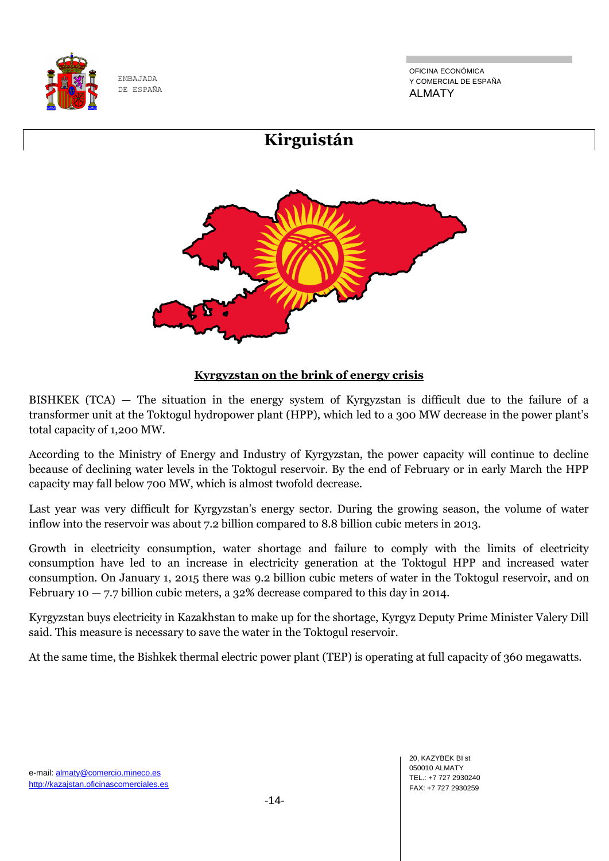

OFICINA ECONÓMICA Y COMERCIAL DE ESPAÑA ALMATY



## **Kyrgyzstan on the brink of energy crisis**

BISHKEK (TCA) — The situation in the energy system of Kyrgyzstan is difficult due to the failure of a transformer unit at the Toktogul hydropower plant (HPP), which led to a 300 MW decrease in the power plant's total capacity of 1,200 MW.

According to the Ministry of Energy and Industry of Kyrgyzstan, the power capacity will continue to decline because of declining water levels in the Toktogul reservoir. By the end of February or in early March the HPP capacity may fall below 700 MW, which is almost twofold decrease.

Last year was very difficult for Kyrgyzstan's energy sector. During the growing season, the volume of water inflow into the reservoir was about 7.2 billion compared to 8.8 billion cubic meters in 2013.

Growth in electricity consumption, water shortage and failure to comply with the limits of electricity consumption have led to an increase in electricity generation at the Toktogul HPP and increased water consumption. On January 1, 2015 there was 9.2 billion cubic meters of water in the Toktogul reservoir, and on February 10  $-$  7.7 billion cubic meters, a 32% decrease compared to this day in 2014.

Kyrgyzstan buys electricity in Kazakhstan to make up for the shortage, Kyrgyz Deputy Prime Minister Valery Dill said. This measure is necessary to save the water in the Toktogul reservoir.

At the same time, the Bishkek thermal electric power plant (TEP) is operating at full capacity of 360 megawatts.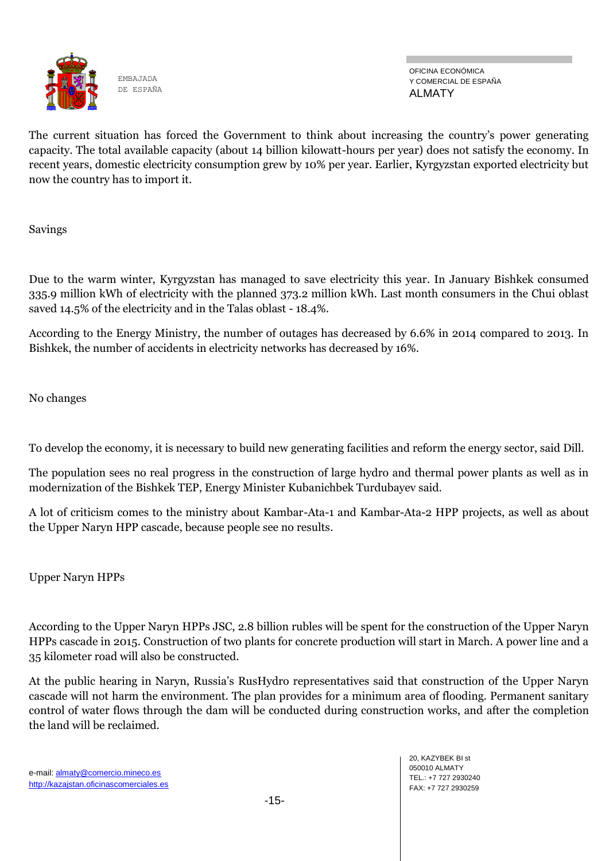

OFICINA ECONÓMICA Y COMERCIAL DE ESPAÑA ALMATY

The current situation has forced the Government to think about increasing the country's power generating capacity. The total available capacity (about 14 billion kilowatt-hours per year) does not satisfy the economy. In recent years, domestic electricity consumption grew by 10% per year. Earlier, Kyrgyzstan exported electricity but now the country has to import it.

Savings

Due to the warm winter, Kyrgyzstan has managed to save electricity this year. In January Bishkek consumed 335.9 million kWh of electricity with the planned 373.2 million kWh. Last month consumers in the Chui oblast saved 14.5% of the electricity and in the Talas oblast - 18.4%.

According to the Energy Ministry, the number of outages has decreased by 6.6% in 2014 compared to 2013. In Bishkek, the number of accidents in electricity networks has decreased by 16%.

No changes

To develop the economy, it is necessary to build new generating facilities and reform the energy sector, said Dill.

The population sees no real progress in the construction of large hydro and thermal power plants as well as in modernization of the Bishkek TEP, Energy Minister Kubanichbek Turdubayev said.

A lot of criticism comes to the ministry about Kambar-Ata-1 and Kambar-Ata-2 HPP projects, as well as about the Upper Naryn HPP cascade, because people see no results.

Upper Naryn HPPs

According to the Upper Naryn HPPs JSC, 2.8 billion rubles will be spent for the construction of the Upper Naryn HPPs cascade in 2015. Construction of two plants for concrete production will start in March. A power line and a 35 kilometer road will also be constructed.

At the public hearing in Naryn, Russia's RusHydro representatives said that construction of the Upper Naryn cascade will not harm the environment. The plan provides for a minimum area of flooding. Permanent sanitary control of water flows through the dam will be conducted during construction works, and after the completion the land will be reclaimed.

20, KAZYBEK BI st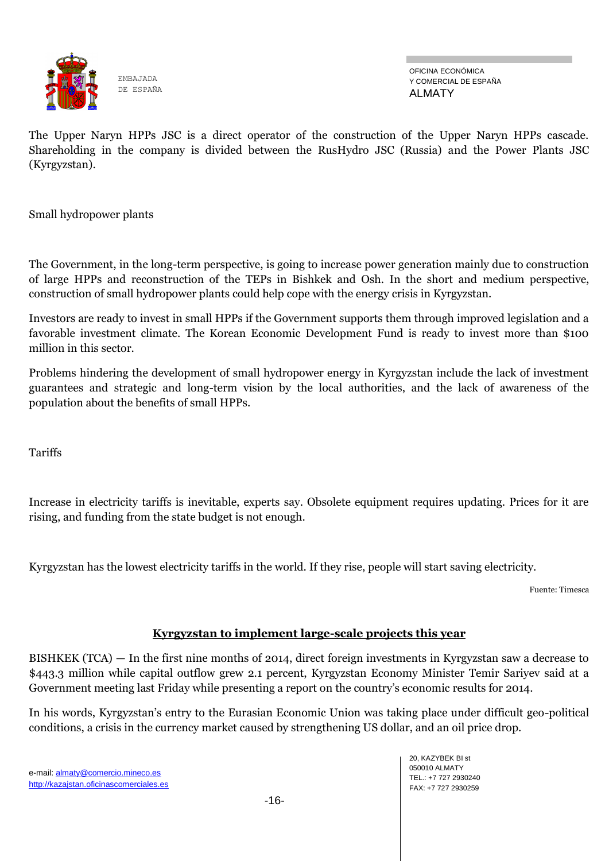

OFICINA ECONÓMICA Y COMERCIAL DE ESPAÑA ALMATY

The Upper Naryn HPPs JSC is a direct operator of the construction of the Upper Naryn HPPs cascade. Shareholding in the company is divided between the RusHydro JSC (Russia) and the Power Plants JSC (Kyrgyzstan).

Small hydropower plants

The Government, in the long-term perspective, is going to increase power generation mainly due to construction of large HPPs and reconstruction of the TEPs in Bishkek and Osh. In the short and medium perspective, construction of small hydropower plants could help cope with the energy crisis in Kyrgyzstan.

Investors are ready to invest in small HPPs if the Government supports them through improved legislation and a favorable investment climate. The Korean Economic Development Fund is ready to invest more than \$100 million in this sector.

Problems hindering the development of small hydropower energy in Kyrgyzstan include the lack of investment guarantees and strategic and long-term vision by the local authorities, and the lack of awareness of the population about the benefits of small HPPs.

Tariffs

Increase in electricity tariffs is inevitable, experts say. Obsolete equipment requires updating. Prices for it are rising, and funding from the state budget is not enough.

Kyrgyzstan has the lowest electricity tariffs in the world. If they rise, people will start saving electricity.

Fuente: Timesca

## **Kyrgyzstan to implement large-scale projects this year**

BISHKEK (TCA) — In the first nine months of 2014, direct foreign investments in Kyrgyzstan saw a decrease to \$443.3 million while capital outflow grew 2.1 percent, Kyrgyzstan Economy Minister Temir Sariyev said at a Government meeting last Friday while presenting a report on the country's economic results for 2014.

In his words, Kyrgyzstan's entry to the Eurasian Economic Union was taking place under difficult geo-political conditions, a crisis in the currency market caused by strengthening US dollar, and an oil price drop.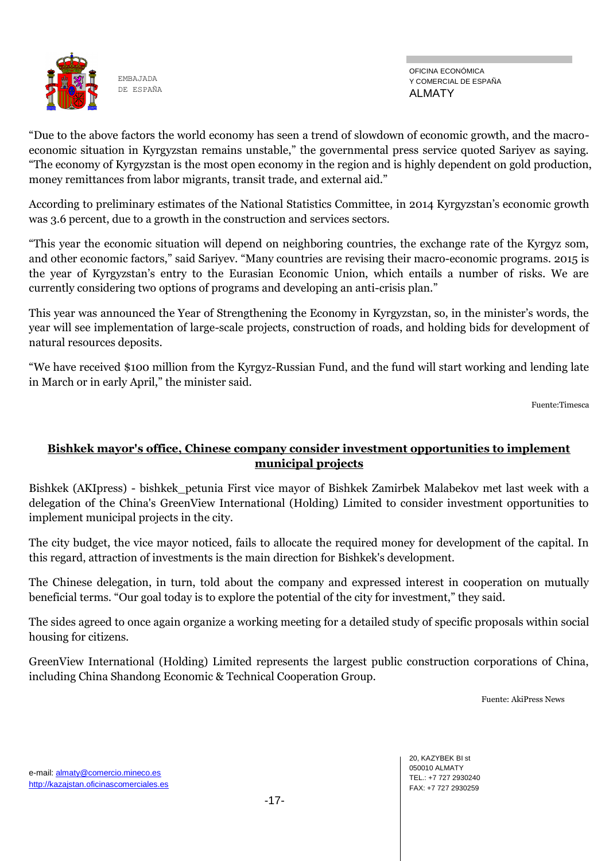

OFICINA ECONÓMICA Y COMERCIAL DE ESPAÑA ALMATY

"Due to the above factors the world economy has seen a trend of slowdown of economic growth, and the macroeconomic situation in Kyrgyzstan remains unstable," the governmental press service quoted Sariyev as saying. "The economy of Kyrgyzstan is the most open economy in the region and is highly dependent on gold production, money remittances from labor migrants, transit trade, and external aid."

According to preliminary estimates of the National Statistics Committee, in 2014 Kyrgyzstan's economic growth was 3.6 percent, due to a growth in the construction and services sectors.

"This year the economic situation will depend on neighboring countries, the exchange rate of the Kyrgyz som, and other economic factors," said Sariyev. "Many countries are revising their macro-economic programs. 2015 is the year of Kyrgyzstan's entry to the Eurasian Economic Union, which entails a number of risks. We are currently considering two options of programs and developing an anti-crisis plan."

This year was announced the Year of Strengthening the Economy in Kyrgyzstan, so, in the minister's words, the year will see implementation of large-scale projects, construction of roads, and holding bids for development of natural resources deposits.

"We have received \$100 million from the Kyrgyz-Russian Fund, and the fund will start working and lending late in March or in early April," the minister said.

Fuente:Timesca

## **Bishkek mayor's office, Chinese company consider investment opportunities to implement municipal projects**

Bishkek (AKIpress) - bishkek\_petunia First vice mayor of Bishkek Zamirbek Malabekov met last week with a delegation of the China's GreenView International (Holding) Limited to consider investment opportunities to implement municipal projects in the city.

The city budget, the vice mayor noticed, fails to allocate the required money for development of the capital. In this regard, attraction of investments is the main direction for Bishkek's development.

The Chinese delegation, in turn, told about the company and expressed interest in cooperation on mutually beneficial terms. "Our goal today is to explore the potential of the city for investment," they said.

The sides agreed to once again organize a working meeting for a detailed study of specific proposals within social housing for citizens.

GreenView International (Holding) Limited represents the largest public construction corporations of China, including China Shandong Economic & Technical Cooperation Group.

Fuente: AkiPress News

20, KAZYBEK BI st 050010 ALMATY TEL.: +7 727 2930240 FAX: +7 727 2930259

e-mail: almaty@comercio.mineco.es http://kazajstan.oficinascomerciales.es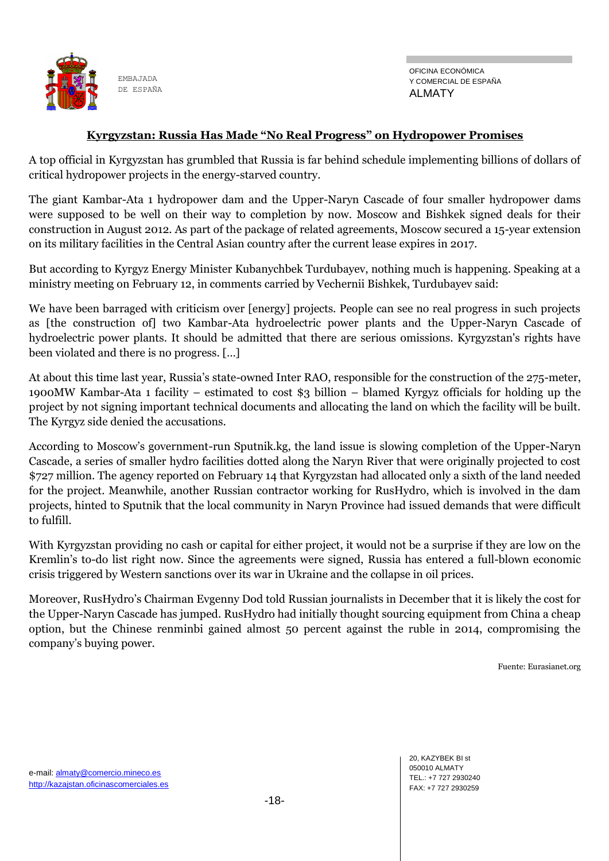

#### **Kyrgyzstan: Russia Has Made "No Real Progress" on Hydropower Promises**

A top official in Kyrgyzstan has grumbled that Russia is far behind schedule implementing billions of dollars of critical hydropower projects in the energy-starved country.

The giant Kambar-Ata 1 hydropower dam and the Upper-Naryn Cascade of four smaller hydropower dams were supposed to be well on their way to completion by now. Moscow and Bishkek signed deals for their construction in August 2012. As part of the package of related agreements, Moscow secured a 15-year extension on its military facilities in the Central Asian country after the current lease expires in 2017.

But according to Kyrgyz Energy Minister Kubanychbek Turdubayev, nothing much is happening. Speaking at a ministry meeting on February 12, in comments carried by Vechernii Bishkek, Turdubayev said:

We have been barraged with criticism over [energy] projects. People can see no real progress in such projects as [the construction of] two Kambar-Ata hydroelectric power plants and the Upper-Naryn Cascade of hydroelectric power plants. It should be admitted that there are serious omissions. Kyrgyzstan's rights have been violated and there is no progress. […]

At about this time last year, Russia's state-owned Inter RAO, responsible for the construction of the 275-meter, 1900MW Kambar-Ata 1 facility – estimated to cost \$3 billion – blamed Kyrgyz officials for holding up the project by not signing important technical documents and allocating the land on which the facility will be built. The Kyrgyz side denied the accusations.

According to Moscow's government-run Sputnik.kg, the land issue is slowing completion of the Upper-Naryn Cascade, a series of smaller hydro facilities dotted along the Naryn River that were originally projected to cost \$727 million. The agency reported on February 14 that Kyrgyzstan had allocated only a sixth of the land needed for the project. Meanwhile, another Russian contractor working for RusHydro, which is involved in the dam projects, hinted to Sputnik that the local community in Naryn Province had issued demands that were difficult to fulfill.

With Kyrgyzstan providing no cash or capital for either project, it would not be a surprise if they are low on the Kremlin's to-do list right now. Since the agreements were signed, Russia has entered a full-blown economic crisis triggered by Western sanctions over its war in Ukraine and the collapse in oil prices.

Moreover, RusHydro's Chairman Evgenny Dod told Russian journalists in December that it is likely the cost for the Upper-Naryn Cascade has jumped. RusHydro had initially thought sourcing equipment from China a cheap option, but the Chinese renminbi gained almost 50 percent against the ruble in 2014, compromising the company's buying power.

Fuente: Eurasianet.org

20, KAZYBEK BI st 050010 ALMATY TEL.: +7 727 2930240 FAX: +7 727 2930259

e-mail: almaty@comercio.mineco.es http://kazajstan.oficinascomerciales.es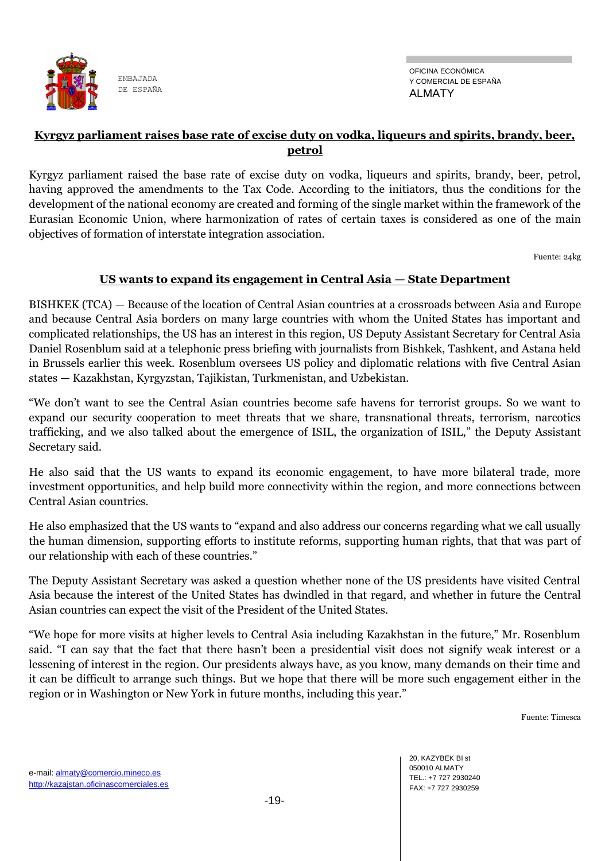

OFICINA ECONÓMICA Y COMERCIAL DE ESPAÑA ALMATY

## **Kyrgyz parliament raises base rate of excise duty on vodka, liqueurs and spirits, brandy, beer, petrol**

Kyrgyz parliament raised the base rate of excise duty on vodka, liqueurs and spirits, brandy, beer, petrol, having approved the amendments to the Tax Code. According to the initiators, thus the conditions for the development of the national economy are created and forming of the single market within the framework of the Eurasian Economic Union, where harmonization of rates of certain taxes is considered as one of the main objectives of formation of interstate integration association.

Fuente: 24kg

## **US wants to expand its engagement in Central Asia — State Department**

BISHKEK (TCA) — Because of the location of Central Asian countries at a crossroads between Asia and Europe and because Central Asia borders on many large countries with whom the United States has important and complicated relationships, the US has an interest in this region, US Deputy Assistant Secretary for Central Asia Daniel Rosenblum said at a telephonic press briefing with journalists from Bishkek, Tashkent, and Astana held in Brussels earlier this week. Rosenblum oversees US policy and diplomatic relations with five Central Asian states — Kazakhstan, Kyrgyzstan, Tajikistan, Turkmenistan, and Uzbekistan.

"We don't want to see the Central Asian countries become safe havens for terrorist groups. So we want to expand our security cooperation to meet threats that we share, transnational threats, terrorism, narcotics trafficking, and we also talked about the emergence of ISIL, the organization of ISIL," the Deputy Assistant Secretary said.

He also said that the US wants to expand its economic engagement, to have more bilateral trade, more investment opportunities, and help build more connectivity within the region, and more connections between Central Asian countries.

He also emphasized that the US wants to "expand and also address our concerns regarding what we call usually the human dimension, supporting efforts to institute reforms, supporting human rights, that that was part of our relationship with each of these countries."

The Deputy Assistant Secretary was asked a question whether none of the US presidents have visited Central Asia because the interest of the United States has dwindled in that regard, and whether in future the Central Asian countries can expect the visit of the President of the United States.

"We hope for more visits at higher levels to Central Asia including Kazakhstan in the future," Mr. Rosenblum said. "I can say that the fact that there hasn't been a presidential visit does not signify weak interest or a lessening of interest in the region. Our presidents always have, as you know, many demands on their time and it can be difficult to arrange such things. But we hope that there will be more such engagement either in the region or in Washington or New York in future months, including this year."

Fuente: Timesca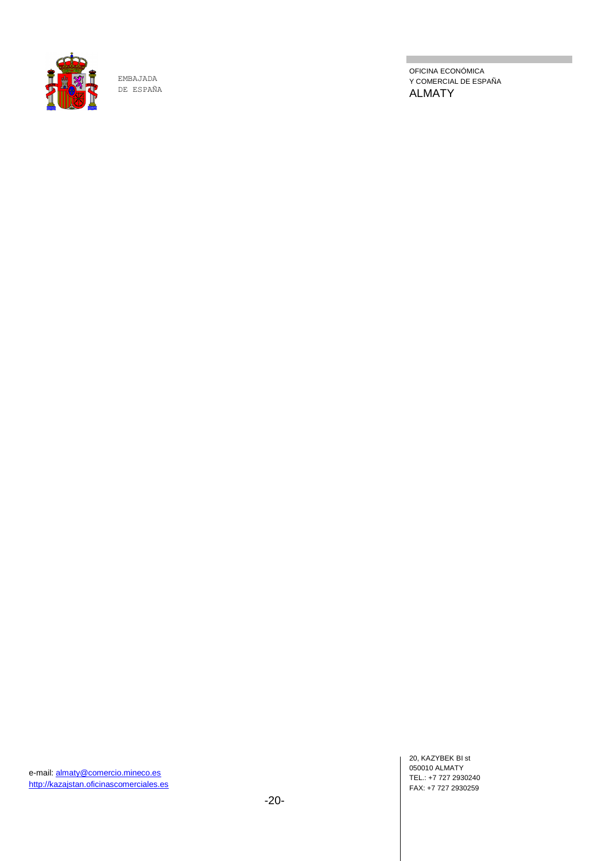

OFICINA ECONÓMICA Y COMERCIAL DE ESPAÑA ALMATY

**College**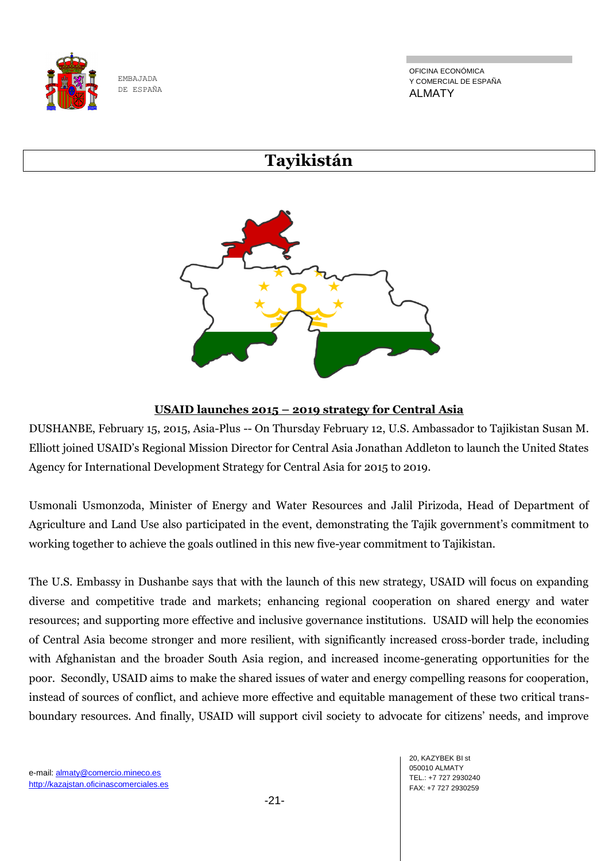

OFICINA ECONÓMICA Y COMERCIAL DE ESPAÑA ALMATY

# **Tayikistán**



## **USAID launches 2015 – 2019 strategy for Central Asia**

DUSHANBE, February 15, 2015, Asia-Plus -- On Thursday February 12, U.S. Ambassador to Tajikistan Susan M. Elliott joined USAID's Regional Mission Director for Central Asia Jonathan Addleton to launch the United States Agency for International Development Strategy for Central Asia for 2015 to 2019.

Usmonali Usmonzoda, Minister of Energy and Water Resources and Jalil Pirizoda, Head of Department of Agriculture and Land Use also participated in the event, demonstrating the Tajik government's commitment to working together to achieve the goals outlined in this new five-year commitment to Tajikistan.

The U.S. Embassy in Dushanbe says that with the launch of this new strategy, USAID will focus on expanding diverse and competitive trade and markets; enhancing regional cooperation on shared energy and water resources; and supporting more effective and inclusive governance institutions. USAID will help the economies of Central Asia become stronger and more resilient, with significantly increased cross-border trade, including with Afghanistan and the broader South Asia region, and increased income-generating opportunities for the poor. Secondly, USAID aims to make the shared issues of water and energy compelling reasons for cooperation, instead of sources of conflict, and achieve more effective and equitable management of these two critical transboundary resources. And finally, USAID will support civil society to advocate for citizens' needs, and improve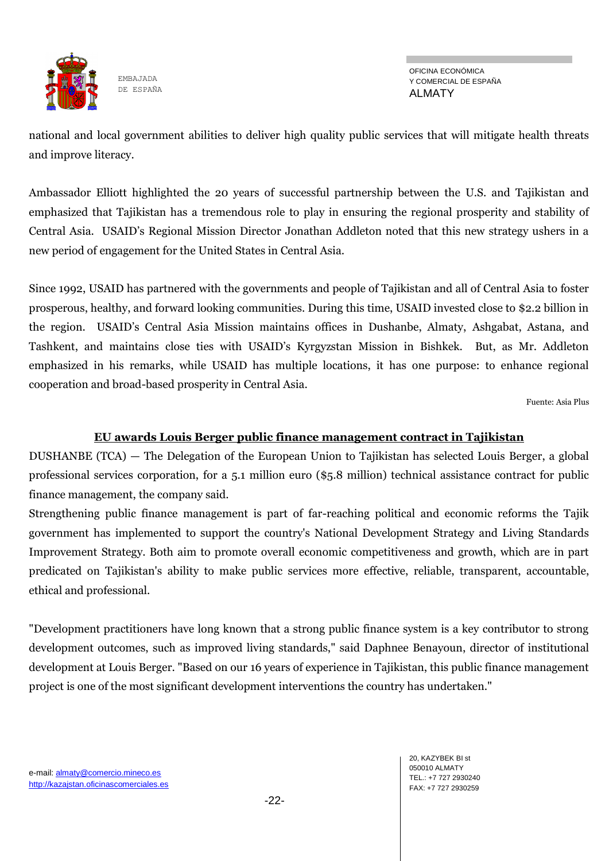

OFICINA ECONÓMICA Y COMERCIAL DE ESPAÑA ALMATY

national and local government abilities to deliver high quality public services that will mitigate health threats and improve literacy.

Ambassador Elliott highlighted the 20 years of successful partnership between the U.S. and Tajikistan and emphasized that Tajikistan has a tremendous role to play in ensuring the regional prosperity and stability of Central Asia. USAID's Regional Mission Director Jonathan Addleton noted that this new strategy ushers in a new period of engagement for the United States in Central Asia.

Since 1992, USAID has partnered with the governments and people of Tajikistan and all of Central Asia to foster prosperous, healthy, and forward looking communities. During this time, USAID invested close to \$2.2 billion in the region. USAID's Central Asia Mission maintains offices in Dushanbe, Almaty, Ashgabat, Astana, and Tashkent, and maintains close ties with USAID's Kyrgyzstan Mission in Bishkek. But, as Mr. Addleton emphasized in his remarks, while USAID has multiple locations, it has one purpose: to enhance regional cooperation and broad-based prosperity in Central Asia.

Fuente: Asia Plus

### **EU awards Louis Berger public finance management contract in Tajikistan**

DUSHANBE (TCA) — The Delegation of the European Union to Tajikistan has selected Louis Berger, a global professional services corporation, for a 5.1 million euro (\$5.8 million) technical assistance contract for public finance management, the company said.

Strengthening public finance management is part of far-reaching political and economic reforms the Tajik government has implemented to support the country's National Development Strategy and Living Standards Improvement Strategy. Both aim to promote overall economic competitiveness and growth, which are in part predicated on Tajikistan's ability to make public services more effective, reliable, transparent, accountable, ethical and professional.

"Development practitioners have long known that a strong public finance system is a key contributor to strong development outcomes, such as improved living standards," said Daphnee Benayoun, director of institutional development at Louis Berger. "Based on our 16 years of experience in Tajikistan, this public finance management project is one of the most significant development interventions the country has undertaken."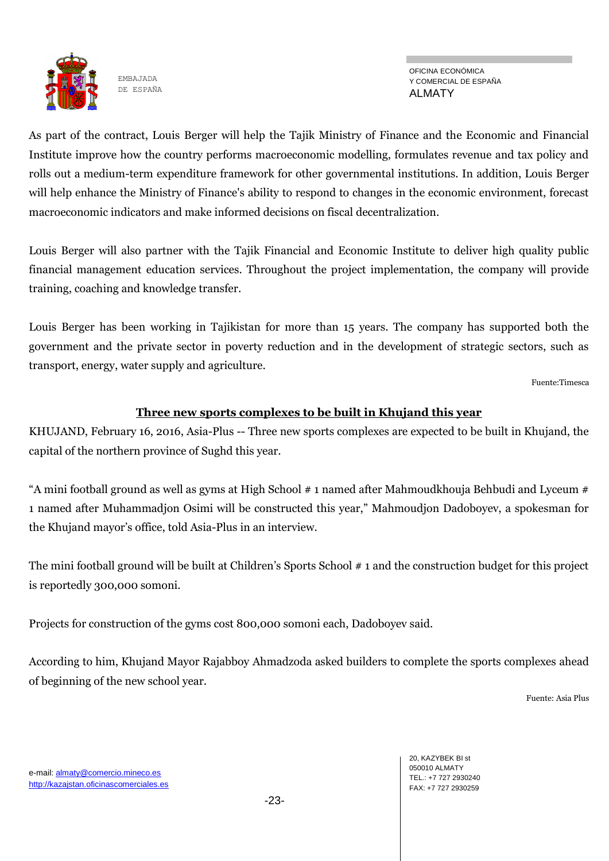

As part of the contract, Louis Berger will help the Tajik Ministry of Finance and the Economic and Financial Institute improve how the country performs macroeconomic modelling, formulates revenue and tax policy and rolls out a medium-term expenditure framework for other governmental institutions. In addition, Louis Berger will help enhance the Ministry of Finance's ability to respond to changes in the economic environment, forecast macroeconomic indicators and make informed decisions on fiscal decentralization.

Louis Berger will also partner with the Tajik Financial and Economic Institute to deliver high quality public financial management education services. Throughout the project implementation, the company will provide training, coaching and knowledge transfer.

Louis Berger has been working in Tajikistan for more than 15 years. The company has supported both the government and the private sector in poverty reduction and in the development of strategic sectors, such as transport, energy, water supply and agriculture.

Fuente:Timesca

## **Three new sports complexes to be built in Khujand this year**

KHUJAND, February 16, 2016, Asia-Plus -- Three new sports complexes are expected to be built in Khujand, the capital of the northern province of Sughd this year.

"A mini football ground as well as gyms at High School # 1 named after Mahmoudkhouja Behbudi and Lyceum # 1 named after Muhammadjon Osimi will be constructed this year," Mahmoudjon Dadoboyev, a spokesman for the Khujand mayor's office, told Asia-Plus in an interview.

The mini football ground will be built at Children's Sports School # 1 and the construction budget for this project is reportedly 300,000 somoni.

Projects for construction of the gyms cost 800,000 somoni each, Dadoboyev said.

According to him, Khujand Mayor Rajabboy Ahmadzoda asked builders to complete the sports complexes ahead of beginning of the new school year.

Fuente: Asia Plus